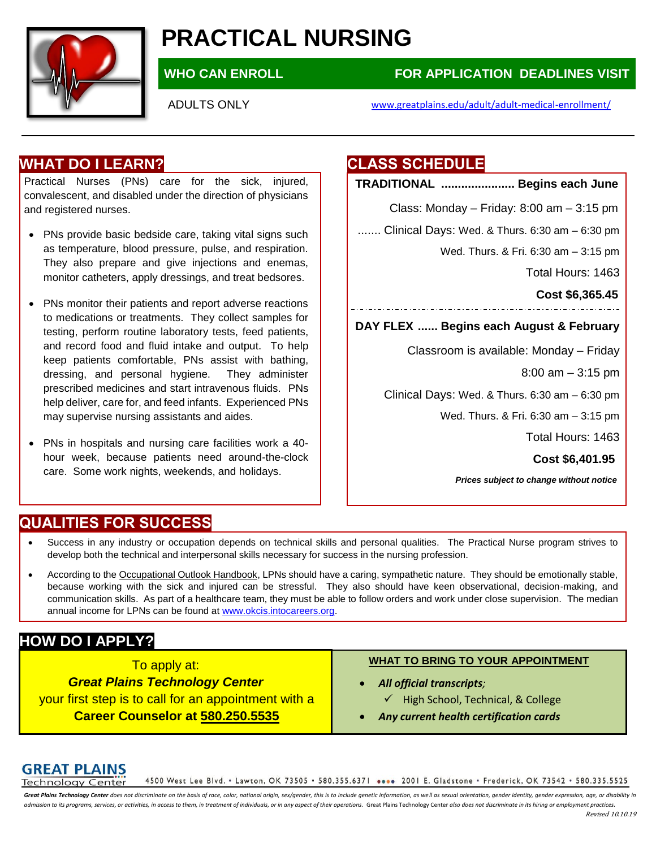

# **PRACTICAL NURSING**

# **WHO CAN ENROLL FOR APPLICATION DEADLINES VISIT**

### ADULTS ONLY [www.greatplains.edu/adult/adult-medical-e](http://www.greatplains.edu/adult/adult-medical-)nrollment/

# **WHAT DO I LEARN?**

Practical Nurses (PNs) care for the sick, injured, convalescent, and disabled under the direction of physicians and registered nurses.

- PNs provide basic bedside care, taking vital signs such as temperature, blood pressure, pulse, and respiration. They also prepare and give injections and enemas, monitor catheters, apply dressings, and treat bedsores.
- PNs monitor their patients and report adverse reactions to medications or treatments. They collect samples for testing, perform routine laboratory tests, feed patients, and record food and fluid intake and output. To help keep patients comfortable, PNs assist with bathing, dressing, and personal hygiene. They administer prescribed medicines and start intravenous fluids. PNs help deliver, care for, and feed infants. Experienced PNs may supervise nursing assistants and aides.
- PNs in hospitals and nursing care facilities work a 40 hour week, because patients need around-the-clock care. Some work nights, weekends, and holidays.

# **CLASS SCHEDULE**

**TRADITIONAL ...................... Begins each June**

Class: Monday – Friday: 8:00 am – 3:15 pm

....... Clinical Days: Wed. & Thurs. 6:30 am – 6:30 pm

Wed. Thurs. & Fri. 6:30 am – 3:15 pm

Total Hours: 1463

**Cost \$6,365.45**

**DAY FLEX ...... Begins each August & February**

Classroom is available: Monday – Friday

8:00 am – 3:15 pm

Clinical Days: Wed. & Thurs. 6:30 am – 6:30 pm

Wed. Thurs. & Fri. 6:30 am – 3:15 pm

Total Hours: 1463

**Cost \$6,401.95**

*Prices subject to change without notice*

# **QUALITIES FOR SUCCESS**

- Success in any industry or occupation depends on technical skills and personal qualities. The Practical Nurse program strives to develop both the technical and interpersonal skills necessary for success in the nursing profession.
- According to the Occupational Outlook Handbook, LPNs should have a caring, sympathetic nature. They should be emotionally stable, because working with the sick and injured can be stressful. They also should have keen observational, decision-making, and communication skills. As part of a healthcare team, they must be able to follow orders and work under close supervision. The median annual income for LPNs can be found a[t www.okcis.intocareers.org.](http://www.okcis.intocareers.org/)

# **HOW DO I APPLY?**

To apply at: *Great Plains Technology Center* your first step is to call for an appointment with a **Career Counselor at 580.250.5535**

#### **WHAT TO BRING TO YOUR APPOINTMENT**

- *All official transcripts;*
	- $\checkmark$  High School, Technical, & College
- *Any current health certification cards*

# **GREAT PLAINS**

4500 West Lee Blvd. • Lawton, OK 73505 • 580.355.6371 •••• 2001 E. Gladstone • Frederick, OK 73542 • 580.335.5525 **Technology Center** 

Great Plains Technology Center does not discriminate on the basis of race, color, national origin, sex/gender, this is to include genetic information, as well as sexual orientation, gender identity, gender expression, gae, admission to its programs, services, or activities, in access to them, in treatment of individuals, or in any aspect of their operations. Great Plains Technology Center also does not discriminate in its hiring or employmen Revised 10.10.19